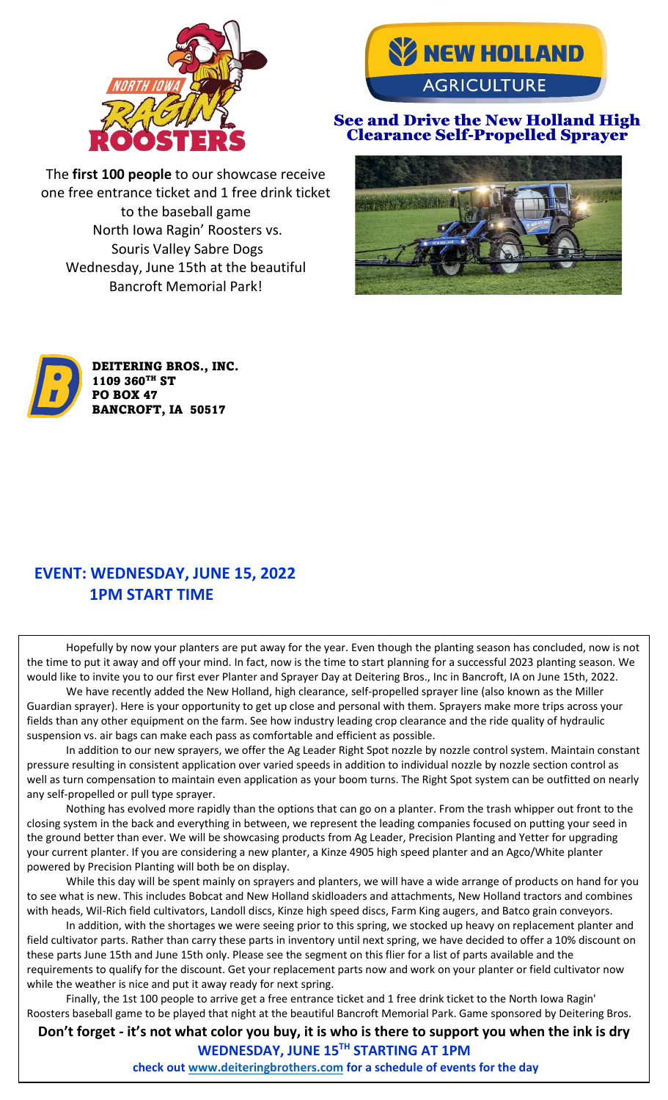



#### See and Drive the New Holland High Clearance Self-Propelled Sprayer

The **first 100 people** to our showcase receive one free entrance ticket and 1 free drink ticket to the baseball game North Iowa Ragin' Roosters vs. Souris Valley Sabre Dogs Wednesday, June 15th at the beautiful Bancroft Memorial Park!





### **EVENT: WEDNESDAY, JUNE 15, 2022 1PM START TIME**

Hopefully by now your planters are put away for the year. Even though the planting season has concluded, now is not the time to put it away and off your mind. In fact, now is the time to start planning for a successful 2023 planting season. We would like to invite you to our first ever Planter and Sprayer Day at Deitering Bros., Inc in Bancroft, IA on June 15th, 2022.

We have recently added the New Holland, high clearance, self-propelled sprayer line (also known as the Miller Guardian sprayer). Here is your opportunity to get up close and personal with them. Sprayers make more trips across your fields than any other equipment on the farm. See how industry leading crop clearance and the ride quality of hydraulic suspension vs. air bags can make each pass as comfortable and efficient as possible.

In addition to our new sprayers, we offer the Ag Leader Right Spot nozzle by nozzle control system. Maintain constant pressure resulting in consistent application over varied speeds in addition to individual nozzle by nozzle section control as well as turn compensation to maintain even application as your boom turns. The Right Spot system can be outfitted on nearly any self-propelled or pull type sprayer.

Nothing has evolved more rapidly than the options that can go on a planter. From the trash whipper out front to the closing system in the back and everything in between, we represent the leading companies focused on putting your seed in the ground better than ever. We will be showcasing products from Ag Leader, Precision Planting and Yetter for upgrading your current planter. If you are considering a new planter, a Kinze 4905 high speed planter and an Agco/White planter powered by Precision Planting will both be on display.

While this day will be spent mainly on sprayers and planters, we will have a wide arrange of products on hand for you to see what is new. This includes Bobcat and New Holland skidloaders and attachments, New Holland tractors and combines with heads, Wil-Rich field cultivators, Landoll discs, Kinze high speed discs, Farm King augers, and Batco grain conveyors.

In addition, with the shortages we were seeing prior to this spring, we stocked up heavy on replacement planter and field cultivator parts. Rather than carry these parts in inventory until next spring, we have decided to offer a 10% discount on these parts June 15th and June 15th only. Please see the segment on this flier for a list of parts available and the requirements to qualify for the discount. Get your replacement parts now and work on your planter or field cultivator now while the weather is nice and put it away ready for next spring.

Finally, the 1st 100 people to arrive get a free entrance ticket and 1 free drink ticket to the North Iowa Ragin' Roosters baseball game to be played that night at the beautiful Bancroft Memorial Park. Game sponsored by Deitering Bros.

**Don't forget - it's not what color you buy, it is who is there to support you when the ink is dry WEDNESDAY, JUNE 15TH STARTING AT 1PM**

**check out [www.deiteringbrothers.com](http://www.deiteringbrothers.com/) for a schedule of events for the day**